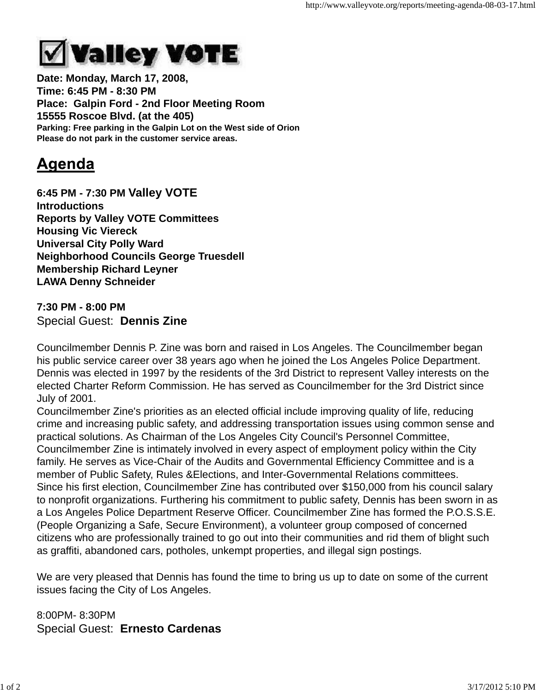

**Date: Monday, March 17, 2008, Time: 6:45 PM - 8:30 PM Place: Galpin Ford - 2nd Floor Meeting Room 15555 Roscoe Blvd. (at the 405) Parking: Free parking in the Galpin Lot on the West side of Orion Please do not park in the customer service areas.**

## Agenda

**6:45 PM - 7:30 PM Valley VOTE Introductions Reports by Valley VOTE Committees Housing Vic Viereck Universal City Polly Ward Neighborhood Councils George Truesdell Membership Richard Leyner LAWA Denny Schneider**

**7:30 PM - 8:00 PM** Special Guest: **Dennis Zine**

Councilmember Dennis P. Zine was born and raised in Los Angeles. The Councilmember began his public service career over 38 years ago when he joined the Los Angeles Police Department. Dennis was elected in 1997 by the residents of the 3rd District to represent Valley interests on the elected Charter Reform Commission. He has served as Councilmember for the 3rd District since July of 2001.

Councilmember Zine's priorities as an elected official include improving quality of life, reducing crime and increasing public safety, and addressing transportation issues using common sense and practical solutions. As Chairman of the Los Angeles City Council's Personnel Committee, Councilmember Zine is intimately involved in every aspect of employment policy within the City family. He serves as Vice-Chair of the Audits and Governmental Efficiency Committee and is a member of Public Safety, Rules &Elections, and Inter-Governmental Relations committees. Since his first election, Councilmember Zine has contributed over \$150,000 from his council salary to nonprofit organizations. Furthering his commitment to public safety, Dennis has been sworn in as a Los Angeles Police Department Reserve Officer. Councilmember Zine has formed the P.O.S.S.E. (People Organizing a Safe, Secure Environment), a volunteer group composed of concerned citizens who are professionally trained to go out into their communities and rid them of blight such as graffiti, abandoned cars, potholes, unkempt properties, and illegal sign postings.

We are very pleased that Dennis has found the time to bring us up to date on some of the current issues facing the City of Los Angeles.

8:00PM- 8:30PM Special Guest: **Ernesto Cardenas**